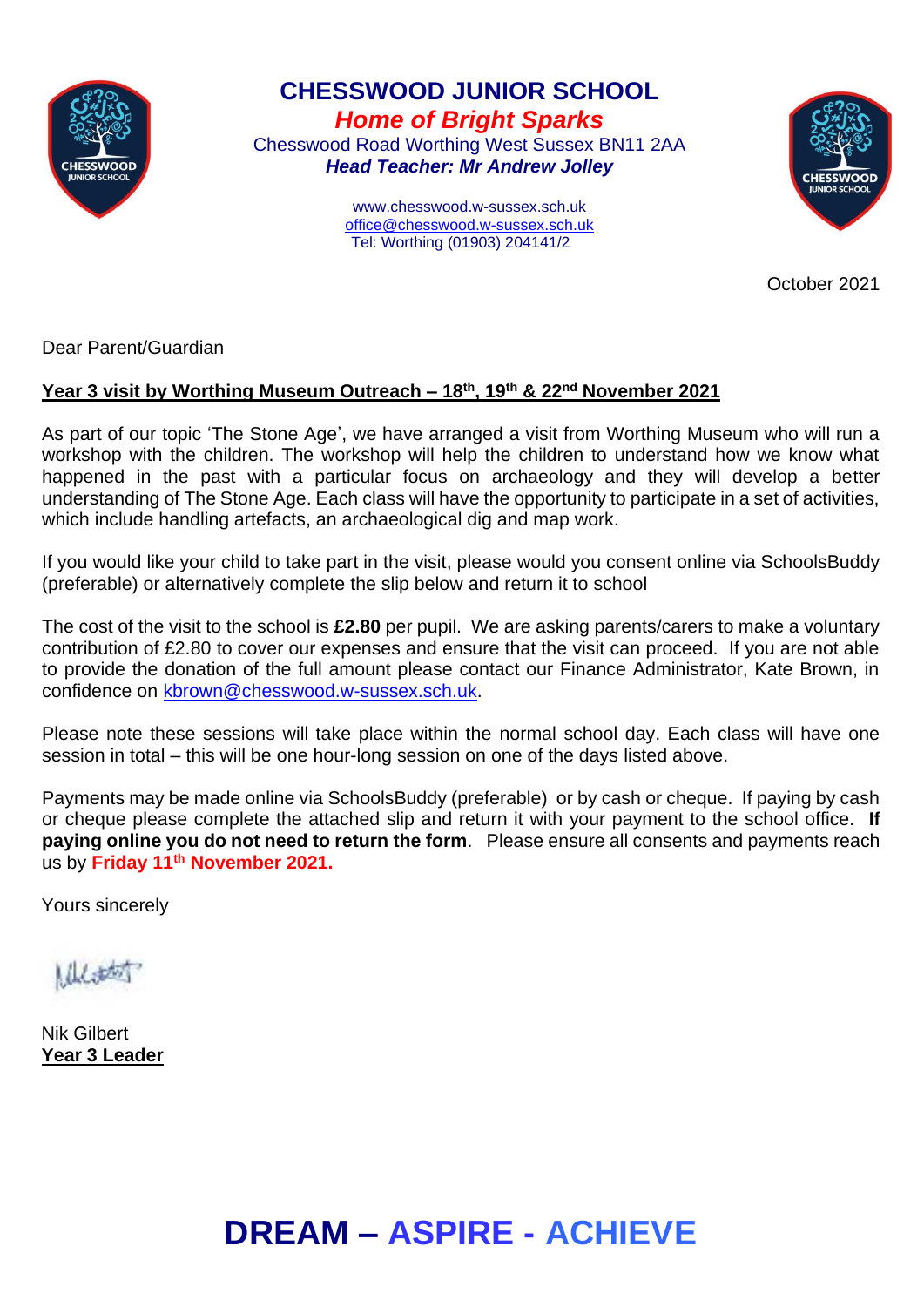

**CHESSWOOD JUNIOR SCHOOL** *Home of Bright Sparks* Chesswood Road Worthing West Sussex BN11 2AA

*Head Teacher: Mr Andrew Jolley*

www.chesswood.w-sussex.sch.uk [office@chesswood.w-sussex.sch.uk](mailto:office@chesswood.w-sussex.sch.uk) Tel: Worthing (01903) 204141/2



October 2021

Dear Parent/Guardian

## **Year 3 visit by Worthing Museum Outreach – 18th, 19th & 22nd November 2021**

As part of our topic 'The Stone Age', we have arranged a visit from Worthing Museum who will run a workshop with the children. The workshop will help the children to understand how we know what happened in the past with a particular focus on archaeology and they will develop a better understanding of The Stone Age. Each class will have the opportunity to participate in a set of activities, which include handling artefacts, an archaeological dig and map work.

If you would like your child to take part in the visit, please would you consent online via SchoolsBuddy (preferable) or alternatively complete the slip below and return it to school

The cost of the visit to the school is **£2.80** per pupil. We are asking parents/carers to make a voluntary contribution of £2.80 to cover our expenses and ensure that the visit can proceed. If you are not able to provide the donation of the full amount please contact our Finance Administrator, Kate Brown, in confidence on [kbrown@chesswood.w-sussex.sch.uk.](mailto:kbrown@chesswood.w-sussex.sch.uk)

Please note these sessions will take place within the normal school day. Each class will have one session in total – this will be one hour-long session on one of the days listed above.

Payments may be made online via SchoolsBuddy (preferable) or by cash or cheque. If paying by cash or cheque please complete the attached slip and return it with your payment to the school office. **If paying online you do not need to return the form**. Please ensure all consents and payments reach us by **Friday 11th November 2021.**

Yours sincerely

 $11.1$ 

Nik Gilbert **Year 3 Leader**

## **DREAM – ASPIRE - ACHIEVE**